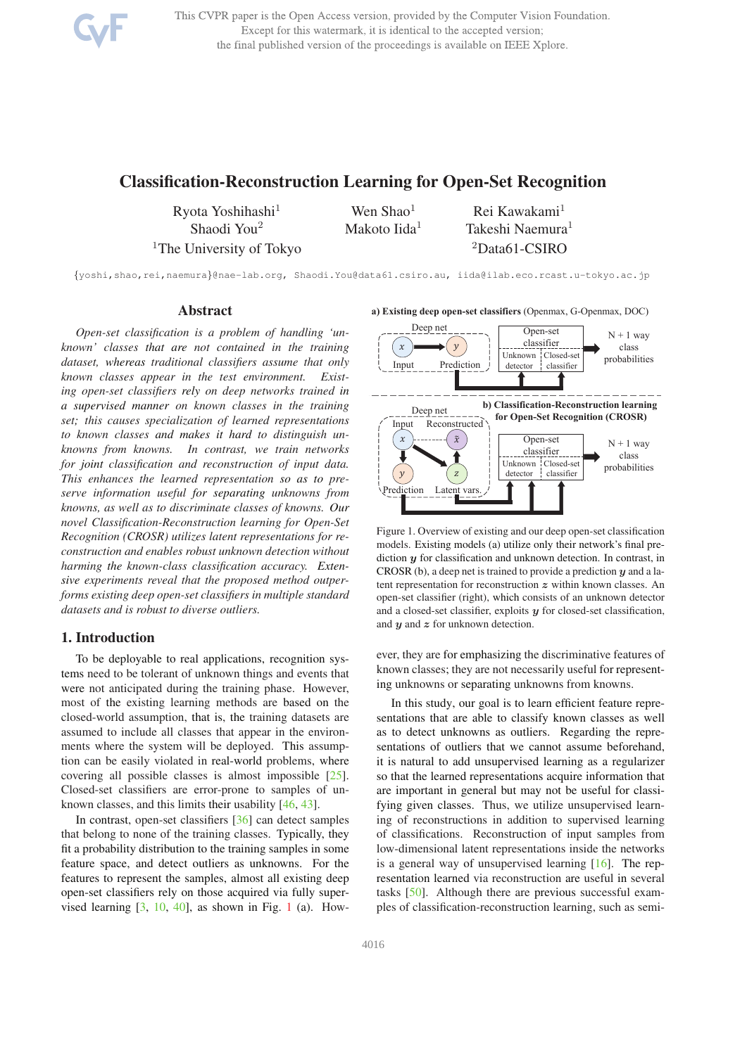This CVPR paper is the Open Access version, provided by the Computer Vision Foundation. Except for this watermark, it is identical to the accepted version; the final published version of the proceedings is available on IEEE Xplore.

# Classification-Reconstruction Learning for Open-Set Recognition

Ryota Yoshihashi<sup>1</sup> Shaodi You<sup>2</sup> <sup>1</sup>The University of Tokyo

Wen Shao<sup>1</sup> Makoto Iida<sup>1</sup>

Rei Kawakami<sup>1</sup> Takeshi Naemura<sup>1</sup> <sup>2</sup>Data61-CSIRO

{yoshi,shao,rei,naemura}@nae-lab.org, Shaodi.You@data61.csiro.au, iida@ilab.eco.rcast.u-tokyo.ac.jp

### Abstract

*Open-set classification is a problem of handling 'unknown' classes that are not contained in the training dataset, whereas traditional classifiers assume that only known classes appear in the test environment. Existing open-set classifiers rely on deep networks trained in a supervised manner on known classes in the training set; this causes specialization of learned representations to known classes and makes it hard to distinguish unknowns from knowns. In contrast, we train networks for joint classification and reconstruction of input data. This enhances the learned representation so as to preserve information useful for separating unknowns from knowns, as well as to discriminate classes of knowns. Our novel Classification-Reconstruction learning for Open-Set Recognition (CROSR) utilizes latent representations for reconstruction and enables robust unknown detection without harming the known-class classification accuracy. Extensive experiments reveal that the proposed method outperforms existing deep open-set classifiers in multiple standard datasets and is robust to diverse outliers.*

### 1. Introduction

To be deployable to real applications, recognition systems need to be tolerant of unknown things and events that were not anticipated during the training phase. However, most of the existing learning methods are based on the closed-world assumption, that is, the training datasets are assumed to include all classes that appear in the environments where the system will be deployed. This assumption can be easily violated in real-world problems, where covering all possible classes is almost impossible [25]. Closed-set classifiers are error-prone to samples of unknown classes, and this limits their usability [46, 43].

In contrast, open-set classifiers [36] can detect samples that belong to none of the training classes. Typically, they fit a probability distribution to the training samples in some feature space, and detect outliers as unknowns. For the features to represent the samples, almost all existing deep open-set classifiers rely on those acquired via fully supervised learning  $[3, 10, 40]$ , as shown in Fig. 1 (a). How**a) Existing deep open-set classifiers** (Openmax, G-Openmax, DOC)



Figure 1. Overview of existing and our deep open-set classification models. Existing models (a) utilize only their network's final prediction  $y$  for classification and unknown detection. In contrast, in CROSR (b), a deep net is trained to provide a prediction  $y$  and a latent representation for reconstruction z within known classes. An open-set classifier (right), which consists of an unknown detector and a closed-set classifier, exploits  $y$  for closed-set classification, and  $y$  and  $z$  for unknown detection.

ever, they are for emphasizing the discriminative features of known classes; they are not necessarily useful for representing unknowns or separating unknowns from knowns.

In this study, our goal is to learn efficient feature representations that are able to classify known classes as well as to detect unknowns as outliers. Regarding the representations of outliers that we cannot assume beforehand, it is natural to add unsupervised learning as a regularizer so that the learned representations acquire information that are important in general but may not be useful for classifying given classes. Thus, we utilize unsupervised learning of reconstructions in addition to supervised learning of classifications. Reconstruction of input samples from low-dimensional latent representations inside the networks is a general way of unsupervised learning [16]. The representation learned via reconstruction are useful in several tasks [50]. Although there are previous successful examples of classification-reconstruction learning, such as semi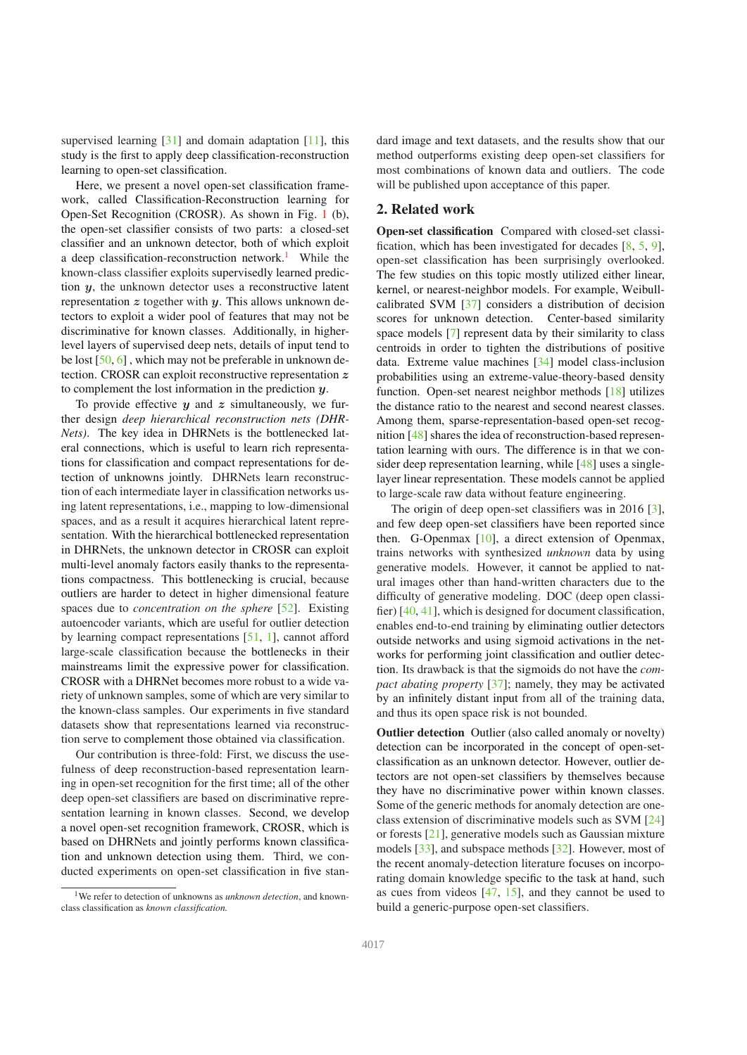supervised learning  $[31]$  and domain adaptation  $[11]$ , this study is the first to apply deep classification-reconstruction learning to open-set classification.

Here, we present a novel open-set classification framework, called Classification-Reconstruction learning for Open-Set Recognition (CROSR). As shown in Fig. 1 (b), the open-set classifier consists of two parts: a closed-set classifier and an unknown detector, both of which exploit a deep classification-reconstruction network.<sup>1</sup> While the known-class classifier exploits supervisedly learned prediction  $y$ , the unknown detector uses a reconstructive latent representation  $z$  together with  $y$ . This allows unknown detectors to exploit a wider pool of features that may not be discriminative for known classes. Additionally, in higherlevel layers of supervised deep nets, details of input tend to be lost [50, 6] , which may not be preferable in unknown detection. CROSR can exploit reconstructive representation z to complement the lost information in the prediction y.

To provide effective  $y$  and  $z$  simultaneously, we further design *deep hierarchical reconstruction nets (DHR-Nets)*. The key idea in DHRNets is the bottlenecked lateral connections, which is useful to learn rich representations for classification and compact representations for detection of unknowns jointly. DHRNets learn reconstruction of each intermediate layer in classification networks using latent representations, i.e., mapping to low-dimensional spaces, and as a result it acquires hierarchical latent representation. With the hierarchical bottlenecked representation in DHRNets, the unknown detector in CROSR can exploit multi-level anomaly factors easily thanks to the representations compactness. This bottlenecking is crucial, because outliers are harder to detect in higher dimensional feature spaces due to *concentration on the sphere* [52]. Existing autoencoder variants, which are useful for outlier detection by learning compact representations [51, 1], cannot afford large-scale classification because the bottlenecks in their mainstreams limit the expressive power for classification. CROSR with a DHRNet becomes more robust to a wide variety of unknown samples, some of which are very similar to the known-class samples. Our experiments in five standard datasets show that representations learned via reconstruction serve to complement those obtained via classification.

Our contribution is three-fold: First, we discuss the usefulness of deep reconstruction-based representation learning in open-set recognition for the first time; all of the other deep open-set classifiers are based on discriminative representation learning in known classes. Second, we develop a novel open-set recognition framework, CROSR, which is based on DHRNets and jointly performs known classification and unknown detection using them. Third, we conducted experiments on open-set classification in five standard image and text datasets, and the results show that our method outperforms existing deep open-set classifiers for most combinations of known data and outliers. The code will be published upon acceptance of this paper.

### 2. Related work

Open-set classification Compared with closed-set classification, which has been investigated for decades [8, 5, 9], open-set classification has been surprisingly overlooked. The few studies on this topic mostly utilized either linear, kernel, or nearest-neighbor models. For example, Weibullcalibrated SVM [37] considers a distribution of decision scores for unknown detection. Center-based similarity space models [7] represent data by their similarity to class centroids in order to tighten the distributions of positive data. Extreme value machines [34] model class-inclusion probabilities using an extreme-value-theory-based density function. Open-set nearest neighbor methods [18] utilizes the distance ratio to the nearest and second nearest classes. Among them, sparse-representation-based open-set recognition [48] shares the idea of reconstruction-based representation learning with ours. The difference is in that we consider deep representation learning, while [48] uses a singlelayer linear representation. These models cannot be applied to large-scale raw data without feature engineering.

The origin of deep open-set classifiers was in 2016 [3], and few deep open-set classifiers have been reported since then. G-Openmax [10], a direct extension of Openmax, trains networks with synthesized *unknown* data by using generative models. However, it cannot be applied to natural images other than hand-written characters due to the difficulty of generative modeling. DOC (deep open classifier) [40, 41], which is designed for document classification, enables end-to-end training by eliminating outlier detectors outside networks and using sigmoid activations in the networks for performing joint classification and outlier detection. Its drawback is that the sigmoids do not have the *compact abating property* [37]; namely, they may be activated by an infinitely distant input from all of the training data, and thus its open space risk is not bounded.

Outlier detection Outlier (also called anomaly or novelty) detection can be incorporated in the concept of open-setclassification as an unknown detector. However, outlier detectors are not open-set classifiers by themselves because they have no discriminative power within known classes. Some of the generic methods for anomaly detection are oneclass extension of discriminative models such as SVM [24] or forests [21], generative models such as Gaussian mixture models [33], and subspace methods [32]. However, most of the recent anomaly-detection literature focuses on incorporating domain knowledge specific to the task at hand, such as cues from videos [47, 15], and they cannot be used to build a generic-purpose open-set classifiers.

<sup>1</sup>We refer to detection of unknowns as *unknown detection*, and knownclass classification as *known classification.*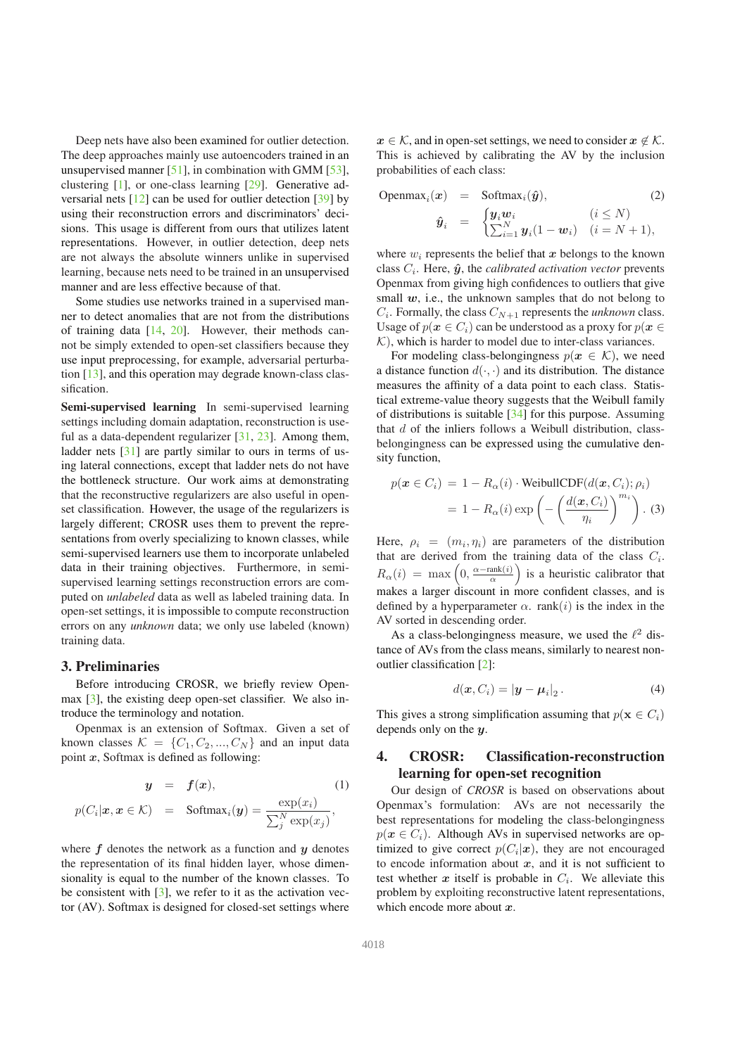Deep nets have also been examined for outlier detection. The deep approaches mainly use autoencoders trained in an unsupervised manner [51], in combination with GMM [53], clustering [1], or one-class learning [29]. Generative adversarial nets [12] can be used for outlier detection [39] by using their reconstruction errors and discriminators' decisions. This usage is different from ours that utilizes latent representations. However, in outlier detection, deep nets are not always the absolute winners unlike in supervised learning, because nets need to be trained in an unsupervised manner and are less effective because of that.

Some studies use networks trained in a supervised manner to detect anomalies that are not from the distributions of training data [14, 20]. However, their methods cannot be simply extended to open-set classifiers because they use input preprocessing, for example, adversarial perturbation [13], and this operation may degrade known-class classification.

Semi-supervised learning In semi-supervised learning settings including domain adaptation, reconstruction is useful as a data-dependent regularizer [31, 23]. Among them, ladder nets [31] are partly similar to ours in terms of using lateral connections, except that ladder nets do not have the bottleneck structure. Our work aims at demonstrating that the reconstructive regularizers are also useful in openset classification. However, the usage of the regularizers is largely different; CROSR uses them to prevent the representations from overly specializing to known classes, while semi-supervised learners use them to incorporate unlabeled data in their training objectives. Furthermore, in semisupervised learning settings reconstruction errors are computed on *unlabeled* data as well as labeled training data. In open-set settings, it is impossible to compute reconstruction errors on any *unknown* data; we only use labeled (known) training data.

#### 3. Preliminaries

Before introducing CROSR, we briefly review Openmax [3], the existing deep open-set classifier. We also introduce the terminology and notation.

Openmax is an extension of Softmax. Given a set of known classes  $\mathcal{K} = \{C_1, C_2, ..., C_N\}$  and an input data point  $x$ , Softmax is defined as following:

$$
\mathbf{y} = \mathbf{f}(\mathbf{x}), \qquad (1)
$$
\n
$$
p(C_i | \mathbf{x}, \mathbf{x} \in \mathcal{K}) = \text{Softmax}_i(\mathbf{y}) = \frac{\exp(x_i)}{\sum_j^N \exp(x_j)},
$$

where  $f$  denotes the network as a function and  $y$  denotes the representation of its final hidden layer, whose dimensionality is equal to the number of the known classes. To be consistent with  $\lceil 3 \rceil$ , we refer to it as the activation vector (AV). Softmax is designed for closed-set settings where

 $x \in \mathcal{K}$ , and in open-set settings, we need to consider  $x \notin \mathcal{K}$ . This is achieved by calibrating the AV by the inclusion probabilities of each class:

$$
\text{Openmax}_{i}(\boldsymbol{x}) = \text{Softmax}_{i}(\hat{\boldsymbol{y}}), \qquad (2)
$$
\n
$$
\hat{\boldsymbol{y}}_{i} = \begin{cases}\n\boldsymbol{y}_{i} \boldsymbol{w}_{i} & (i \leq N) \\
\sum_{i=1}^{N} \boldsymbol{y}_{i} (1 - \boldsymbol{w}_{i}) & (i = N + 1),\n\end{cases} \tag{2}
$$

where  $w_i$  represents the belief that x belongs to the known class  $C_i$ . Here,  $\hat{y}$ , the *calibrated activation vector* prevents Openmax from giving high confidences to outliers that give small  $w$ , i.e., the unknown samples that do not belong to  $C_i$ . Formally, the class  $C_{N+1}$  represents the *unknown* class. Usage of  $p(x \in C_i)$  can be understood as a proxy for  $p(x \in C_i)$  $K$ ), which is harder to model due to inter-class variances.

For modeling class-belongingness  $p(x \in \mathcal{K})$ , we need a distance function  $d(\cdot, \cdot)$  and its distribution. The distance measures the affinity of a data point to each class. Statistical extreme-value theory suggests that the Weibull family of distributions is suitable [34] for this purpose. Assuming that d of the inliers follows a Weibull distribution, classbelongingness can be expressed using the cumulative density function,

$$
p(\boldsymbol{x} \in C_i) = 1 - R_{\alpha}(i) \cdot \text{WeibullCDF}(d(\boldsymbol{x}, C_i); \rho_i)
$$

$$
= 1 - R_{\alpha}(i) \exp\left(-\left(\frac{d(\boldsymbol{x}, C_i)}{\eta_i}\right)^{m_i}\right). (3)
$$

Here,  $\rho_i = (m_i, \eta_i)$  are parameters of the distribution that are derived from the training data of the class  $C_i$ .  $R_{\alpha}(i) = \max\left(0, \frac{\alpha - \text{rank}(i)}{\alpha}\right)$  is a heuristic calibrator that makes a larger discount in more confident classes, and is defined by a hyperparameter  $\alpha$ . rank(i) is the index in the AV sorted in descending order.

As a class-belongingness measure, we used the  $\ell^2$  distance of AVs from the class means, similarly to nearest nonoutlier classification [2]:

$$
d(\boldsymbol{x}, C_i) = |\boldsymbol{y} - \boldsymbol{\mu}_i|_2. \tag{4}
$$

This gives a strong simplification assuming that  $p(\mathbf{x} \in C_i)$ depends only on the y.

## 4. CROSR: Classification-reconstruction learning for open-set recognition

Our design of *CROSR* is based on observations about Openmax's formulation: AVs are not necessarily the best representations for modeling the class-belongingness  $p(x \in C_i)$ . Although AVs in supervised networks are optimized to give correct  $p(C_i|\boldsymbol{x})$ , they are not encouraged to encode information about  $x$ , and it is not sufficient to test whether  $x$  itself is probable in  $C_i$ . We alleviate this problem by exploiting reconstructive latent representations, which encode more about  $x$ .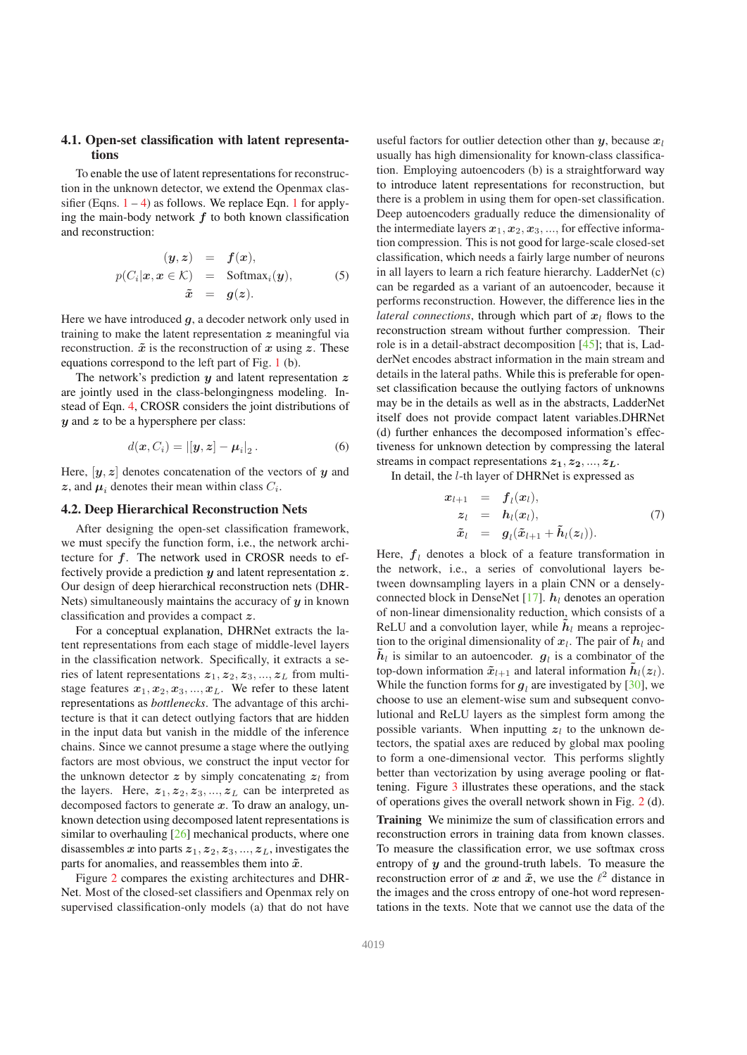### 4.1. Open-set classification with latent representations

To enable the use of latent representations for reconstruction in the unknown detector, we extend the Openmax classifier (Eqns.  $1 - 4$ ) as follows. We replace Eqn. 1 for applying the main-body network  $f$  to both known classification and reconstruction:

$$
(y, z) = f(x),
$$
  
\n
$$
p(C_i|x, x \in \mathcal{K}) = \text{Softmax}_i(y),
$$
  
\n
$$
\tilde{x} = g(z).
$$
\n(5)

Here we have introduced  $g$ , a decoder network only used in training to make the latent representation  $z$  meaningful via reconstruction.  $\tilde{x}$  is the reconstruction of x using z. These equations correspond to the left part of Fig. 1 (b).

The network's prediction  $y$  and latent representation  $z$ are jointly used in the class-belongingness modeling. Instead of Eqn. 4, CROSR considers the joint distributions of  $y$  and  $z$  to be a hypersphere per class:

$$
d(\boldsymbol{x}, C_i) = |[\boldsymbol{y}, \boldsymbol{z}] - \boldsymbol{\mu}_i|_2.
$$
 (6)

Here,  $[y, z]$  denotes concatenation of the vectors of y and z, and  $\mu_i$  denotes their mean within class  $C_i$ .

### 4.2. Deep Hierarchical Reconstruction Nets

After designing the open-set classification framework, we must specify the function form, i.e., the network architecture for f. The network used in CROSR needs to effectively provide a prediction  $y$  and latent representation  $z$ . Our design of deep hierarchical reconstruction nets (DHR-Nets) simultaneously maintains the accuracy of  $y$  in known classification and provides a compact z.

For a conceptual explanation, DHRNet extracts the latent representations from each stage of middle-level layers in the classification network. Specifically, it extracts a series of latent representations  $z_1, z_2, z_3, ..., z_L$  from multistage features  $x_1, x_2, x_3, ..., x_L$ . We refer to these latent representations as *bottlenecks*. The advantage of this architecture is that it can detect outlying factors that are hidden in the input data but vanish in the middle of the inference chains. Since we cannot presume a stage where the outlying factors are most obvious, we construct the input vector for the unknown detector z by simply concatenating  $z_l$  from the layers. Here,  $z_1, z_2, z_3, ..., z_L$  can be interpreted as decomposed factors to generate  $x$ . To draw an analogy, unknown detection using decomposed latent representations is similar to overhauling [26] mechanical products, where one disassembles x into parts  $z_1, z_2, z_3, ..., z_L$ , investigates the parts for anomalies, and reassembles them into  $\tilde{x}$ .

Figure 2 compares the existing architectures and DHR-Net. Most of the closed-set classifiers and Openmax rely on supervised classification-only models (a) that do not have useful factors for outlier detection other than y, because  $x_l$ usually has high dimensionality for known-class classification. Employing autoencoders (b) is a straightforward way to introduce latent representations for reconstruction, but there is a problem in using them for open-set classification. Deep autoencoders gradually reduce the dimensionality of the intermediate layers  $x_1, x_2, x_3, \dots$ , for effective information compression. This is not good for large-scale closed-set classification, which needs a fairly large number of neurons in all layers to learn a rich feature hierarchy. LadderNet (c) can be regarded as a variant of an autoencoder, because it performs reconstruction. However, the difference lies in the *lateral connections*, through which part of  $x_l$  flows to the reconstruction stream without further compression. Their role is in a detail-abstract decomposition [45]; that is, LadderNet encodes abstract information in the main stream and details in the lateral paths. While this is preferable for openset classification because the outlying factors of unknowns may be in the details as well as in the abstracts, LadderNet itself does not provide compact latent variables.DHRNet (d) further enhances the decomposed information's effectiveness for unknown detection by compressing the lateral streams in compact representations  $z_1, z_2, ..., z_L$ .

In detail, the l-th layer of DHRNet is expressed as

$$
x_{l+1} = f_l(x_l),
$$
  
\n
$$
z_l = h_l(x_l),
$$
  
\n
$$
\tilde{x}_l = g_l(\tilde{x}_{l+1} + \tilde{h}_l(z_l)).
$$
\n(7)

Here,  $f_l$  denotes a block of a feature transformation in the network, i.e., a series of convolutional layers between downsampling layers in a plain CNN or a denselyconnected block in DenseNet [17].  $h_l$  denotes an operation of non-linear dimensionality reduction, which consists of a ReLU and a convolution layer, while  $\tilde{h}_l$  means a reprojection to the original dimensionality of  $x_l$ . The pair of  $h_l$  and  $\tilde{h}_l$  is similar to an autoencoder.  $g_l$  is a combinator of the top-down information  $\tilde{x}_{l+1}$  and lateral information  $h_l(z_l)$ . While the function forms for  $g_l$  are investigated by [30], we choose to use an element-wise sum and subsequent convolutional and ReLU layers as the simplest form among the possible variants. When inputting  $z_l$  to the unknown detectors, the spatial axes are reduced by global max pooling to form a one-dimensional vector. This performs slightly better than vectorization by using average pooling or flattening. Figure 3 illustrates these operations, and the stack of operations gives the overall network shown in Fig. 2 (d). Training We minimize the sum of classification errors and reconstruction errors in training data from known classes. To measure the classification error, we use softmax cross entropy of  $y$  and the ground-truth labels. To measure the reconstruction error of x and  $\tilde{x}$ , we use the  $\ell^2$  distance in the images and the cross entropy of one-hot word representations in the texts. Note that we cannot use the data of the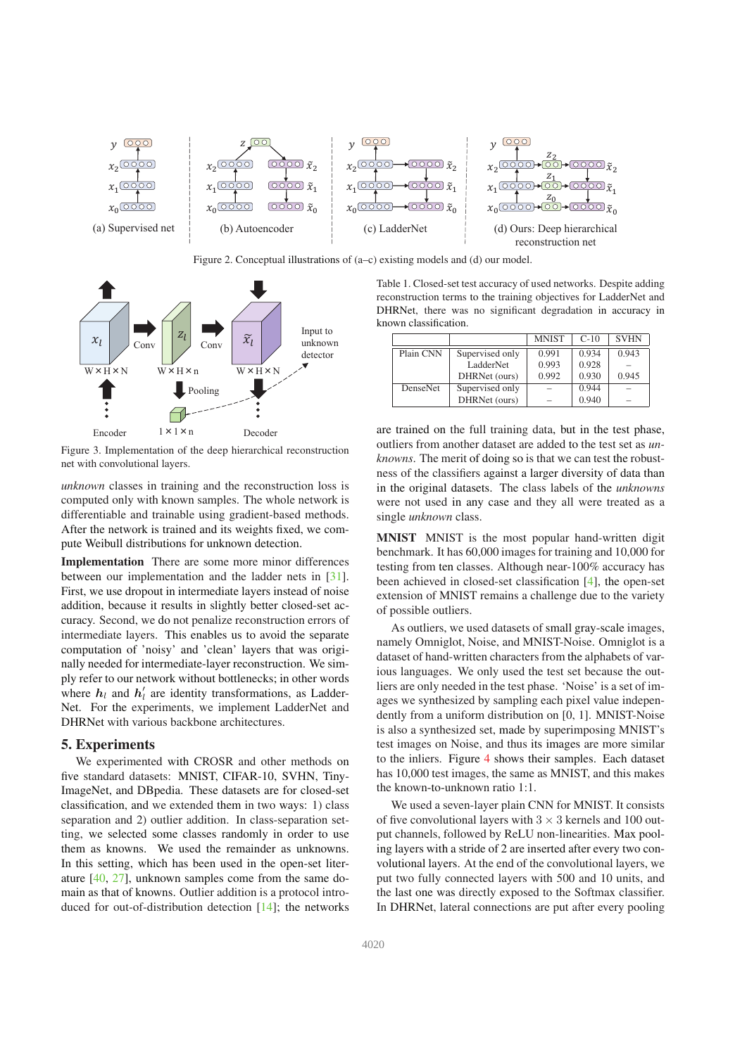

Figure 2. Conceptual illustrations of (a–c) existing models and (d) our model.



Figure 3. Implementation of the deep hierarchical reconstruction net with convolutional layers.

*unknown* classes in training and the reconstruction loss is computed only with known samples. The whole network is differentiable and trainable using gradient-based methods. After the network is trained and its weights fixed, we compute Weibull distributions for unknown detection.

Implementation There are some more minor differences between our implementation and the ladder nets in [31]. First, we use dropout in intermediate layers instead of noise addition, because it results in slightly better closed-set accuracy. Second, we do not penalize reconstruction errors of intermediate layers. This enables us to avoid the separate computation of 'noisy' and 'clean' layers that was originally needed for intermediate-layer reconstruction. We simply refer to our network without bottlenecks; in other words where  $h_l$  and  $h'_l$  $\ell$  are identity transformations, as Ladder-Net. For the experiments, we implement LadderNet and DHRNet with various backbone architectures.

#### 5. Experiments

We experimented with CROSR and other methods on five standard datasets: MNIST, CIFAR-10, SVHN, Tiny-ImageNet, and DBpedia. These datasets are for closed-set classification, and we extended them in two ways: 1) class separation and 2) outlier addition. In class-separation setting, we selected some classes randomly in order to use them as knowns. We used the remainder as unknowns. In this setting, which has been used in the open-set literature [40, 27], unknown samples come from the same domain as that of knowns. Outlier addition is a protocol introduced for out-of-distribution detection [14]; the networks

Table 1. Closed-set test accuracy of used networks. Despite adding reconstruction terms to the training objectives for LadderNet and DHRNet, there was no significant degradation in accuracy in known classification.

|                 |                 | <b>MNIST</b> | $C-10$ | <b>SVHN</b> |
|-----------------|-----------------|--------------|--------|-------------|
| Plain CNN       | Supervised only | 0.991        | 0.934  | 0.943       |
|                 | LadderNet       | 0.993        | 0.928  |             |
|                 | DHRNet (ours)   | 0.992        | 0.930  | 0.945       |
| <b>DenseNet</b> | Supervised only |              | 0.944  |             |
|                 | DHRNet (ours)   |              | 0.940  |             |

are trained on the full training data, but in the test phase, outliers from another dataset are added to the test set as *unknowns*. The merit of doing so is that we can test the robustness of the classifiers against a larger diversity of data than in the original datasets. The class labels of the *unknowns* were not used in any case and they all were treated as a single *unknown* class.

MNIST MNIST is the most popular hand-written digit benchmark. It has 60,000 images for training and 10,000 for testing from ten classes. Although near-100% accuracy has been achieved in closed-set classification [4], the open-set extension of MNIST remains a challenge due to the variety of possible outliers.

As outliers, we used datasets of small gray-scale images, namely Omniglot, Noise, and MNIST-Noise. Omniglot is a dataset of hand-written characters from the alphabets of various languages. We only used the test set because the outliers are only needed in the test phase. 'Noise' is a set of images we synthesized by sampling each pixel value independently from a uniform distribution on [0, 1]. MNIST-Noise is also a synthesized set, made by superimposing MNIST's test images on Noise, and thus its images are more similar to the inliers. Figure 4 shows their samples. Each dataset has 10,000 test images, the same as MNIST, and this makes the known-to-unknown ratio 1:1.

We used a seven-layer plain CNN for MNIST. It consists of five convolutional layers with  $3 \times 3$  kernels and 100 output channels, followed by ReLU non-linearities. Max pooling layers with a stride of 2 are inserted after every two convolutional layers. At the end of the convolutional layers, we put two fully connected layers with 500 and 10 units, and the last one was directly exposed to the Softmax classifier. In DHRNet, lateral connections are put after every pooling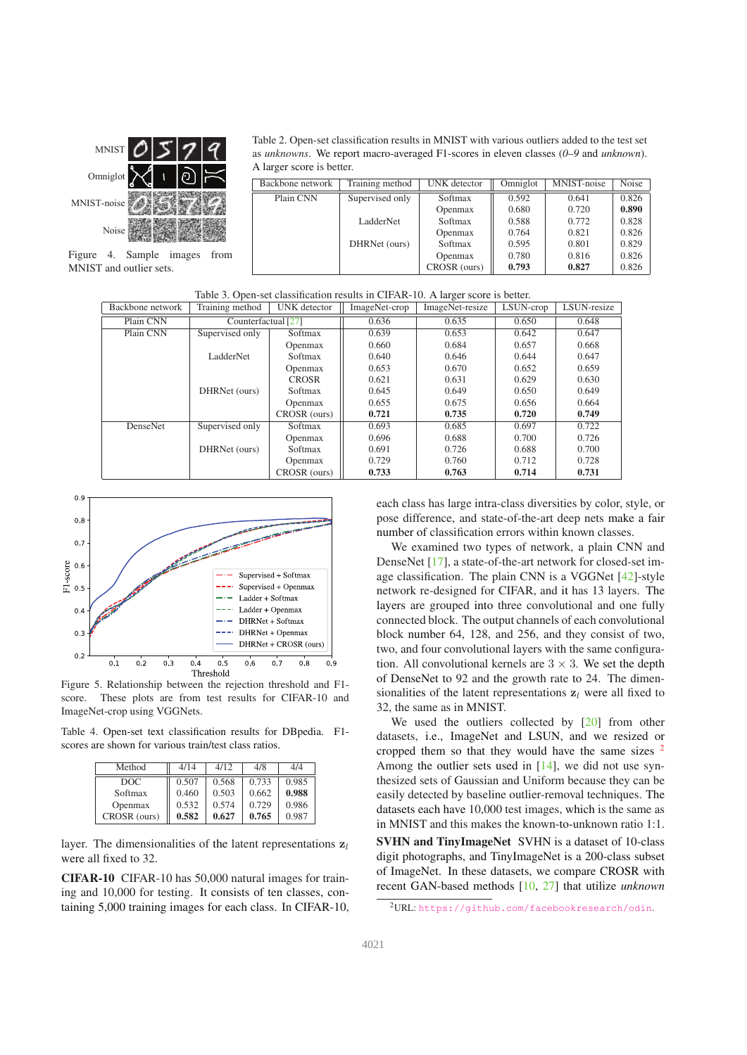

Figure 4. Sample images from MNIST and outlier sets.

Table 2. Open-set classification results in MNIST with various outliers added to the test set as *unknowns*. We report macro-averaged F1-scores in eleven classes (*0–9* and *unknown*). A larger score is better.

| Backbone network | Training method | UNK detector   | Omniglot | MNIST-noise | <b>Noise</b> |
|------------------|-----------------|----------------|----------|-------------|--------------|
| Plain CNN        | Supervised only | Softmax        | 0.592    | 0.641       | 0.826        |
|                  |                 | <b>Openmax</b> | 0.680    | 0.720       | 0.890        |
|                  | LadderNet       | Softmax        | 0.588    | 0.772       | 0.828        |
|                  |                 | <b>Openmax</b> | 0.764    | 0.821       | 0.826        |
|                  | DHRNet (ours)   | Softmax        | 0.595    | 0.801       | 0.829        |
|                  |                 | <b>Openmax</b> | 0.780    | 0.816       | 0.826        |
|                  |                 | CROSR (ours)   | 0.793    | 0.827       | 0.826        |

Table 3. Open-set classification results in CIFAR-10. A larger score is better.

| Backbone network | Training method     | UNK detector   | ImageNet-crop | ImageNet-resize | LSUN-crop | LSUN-resize |
|------------------|---------------------|----------------|---------------|-----------------|-----------|-------------|
| Plain CNN        | Counterfactual [27] |                | 0.636         | 0.635           | 0.650     | 0.648       |
| Plain CNN        | Supervised only     | Softmax        | 0.639         | 0.653           | 0.642     | 0.647       |
|                  |                     | <b>Openmax</b> | 0.660         | 0.684           | 0.657     | 0.668       |
|                  | LadderNet           | Softmax        | 0.640         | 0.646           | 0.644     | 0.647       |
|                  |                     | <b>Openmax</b> | 0.653         | 0.670           | 0.652     | 0.659       |
|                  |                     | <b>CROSR</b>   | 0.621         | 0.631           | 0.629     | 0.630       |
|                  | DHRNet (ours)       | Softmax        | 0.645         | 0.649           | 0.650     | 0.649       |
|                  |                     | <b>Openmax</b> | 0.655         | 0.675           | 0.656     | 0.664       |
|                  |                     | CROSR (ours)   | 0.721         | 0.735           | 0.720     | 0.749       |
| DenseNet         | Supervised only     | Softmax        | 0.693         | 0.685           | 0.697     | 0.722       |
|                  |                     | Openmax        | 0.696         | 0.688           | 0.700     | 0.726       |
|                  | DHRNet (ours)       | Softmax        | 0.691         | 0.726           | 0.688     | 0.700       |
|                  |                     | Openmax        | 0.729         | 0.760           | 0.712     | 0.728       |
|                  |                     | CROSR (ours)   | 0.733         | 0.763           | 0.714     | 0.731       |



Figure 5. Relationship between the rejection threshold and F1 score. These plots are from test results for CIFAR-10 and ImageNet-crop using VGGNets.

Table 4. Open-set text classification results for DBpedia. F1 scores are shown for various train/test class ratios.

| Method       | 4/14  | 4/12  | 4/8   | 4/4   |
|--------------|-------|-------|-------|-------|
| DOC.         | 0.507 | 0.568 | 0.733 | 0.985 |
| Softmax      | 0.460 | 0.503 | 0.662 | 0.988 |
| Openmax      | 0.532 | 0.574 | 0.729 | 0.986 |
| CROSR (ours) | 0.582 | 0.627 | 0.765 | 0.987 |

layer. The dimensionalities of the latent representations  $z_l$ were all fixed to 32.

CIFAR-10 CIFAR-10 has 50,000 natural images for training and 10,000 for testing. It consists of ten classes, containing 5,000 training images for each class. In CIFAR-10, each class has large intra-class diversities by color, style, or pose difference, and state-of-the-art deep nets make a fair number of classification errors within known classes.

We examined two types of network, a plain CNN and DenseNet [17], a state-of-the-art network for closed-set image classification. The plain CNN is a VGGNet [42]-style network re-designed for CIFAR, and it has 13 layers. The layers are grouped into three convolutional and one fully connected block. The output channels of each convolutional block number 64, 128, and 256, and they consist of two, two, and four convolutional layers with the same configuration. All convolutional kernels are  $3 \times 3$ . We set the depth of DenseNet to 92 and the growth rate to 24. The dimensionalities of the latent representations  $z_l$  were all fixed to 32, the same as in MNIST.

We used the outliers collected by [20] from other datasets, i.e., ImageNet and LSUN, and we resized or cropped them so that they would have the same sizes  $2$ Among the outlier sets used in  $[14]$ , we did not use synthesized sets of Gaussian and Uniform because they can be easily detected by baseline outlier-removal techniques. The datasets each have 10,000 test images, which is the same as in MNIST and this makes the known-to-unknown ratio 1:1.

SVHN and TinyImageNet SVHN is a dataset of 10-class digit photographs, and TinyImageNet is a 200-class subset of ImageNet. In these datasets, we compare CROSR with recent GAN-based methods [10, 27] that utilize *unknown*

<sup>2</sup>URL: https://github.com/facebookresearch/odin.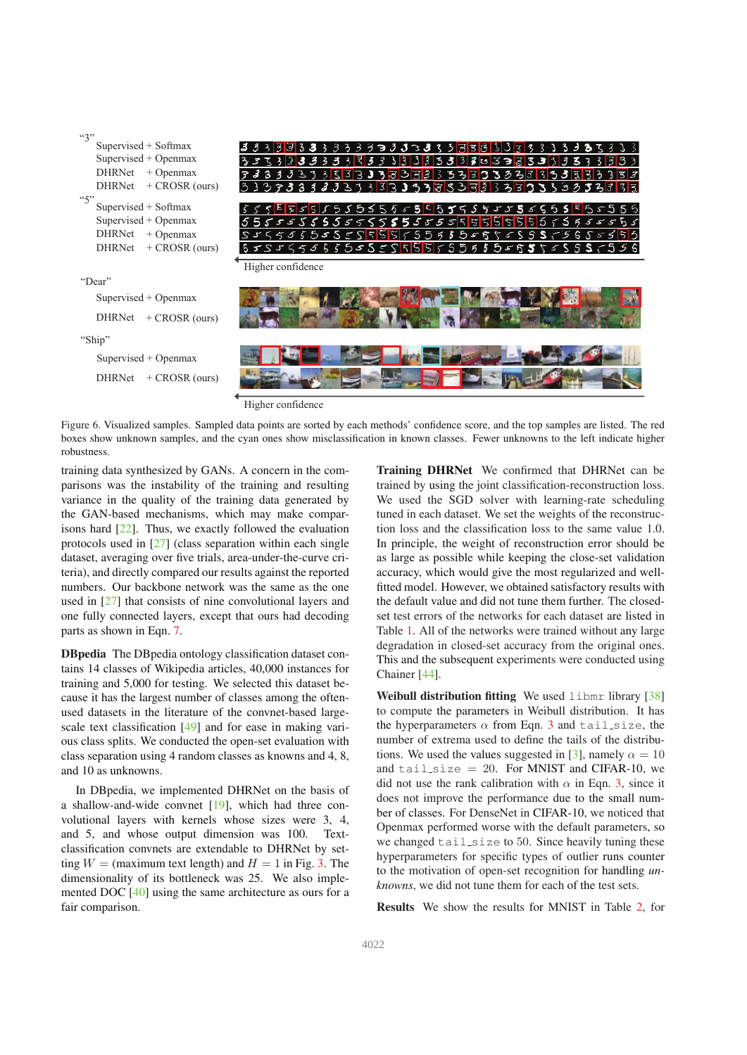

Figure 6. Visualized samples. Sampled data points are sorted by each methods' confidence score, and the top samples are listed. The red boxes show unknown samples, and the cyan ones show misclassification in known classes. Fewer unknowns to the left indicate higher robustness.

training data synthesized by GANs. A concern in the comparisons was the instability of the training and resulting variance in the quality of the training data generated by the GAN-based mechanisms, which may make comparisons hard [22]. Thus, we exactly followed the evaluation protocols used in [27] (class separation within each single dataset, averaging over five trials, area-under-the-curve criteria), and directly compared our results against the reported numbers. Our backbone network was the same as the one used in [27] that consists of nine convolutional layers and one fully connected layers, except that ours had decoding parts as shown in Eqn. 7.

DBpedia The DBpedia ontology classification dataset contains 14 classes of Wikipedia articles, 40,000 instances for training and 5,000 for testing. We selected this dataset because it has the largest number of classes among the oftenused datasets in the literature of the convnet-based largescale text classification [49] and for ease in making various class splits. We conducted the open-set evaluation with class separation using 4 random classes as knowns and 4, 8, and 10 as unknowns.

In DBpedia, we implemented DHRNet on the basis of a shallow-and-wide convnet [19], which had three convolutional layers with kernels whose sizes were 3, 4, and 5, and whose output dimension was 100. Textclassification convnets are extendable to DHRNet by setting  $W =$  (maximum text length) and  $H = 1$  in Fig. 3. The dimensionality of its bottleneck was 25. We also implemented DOC [40] using the same architecture as ours for a fair comparison.

Training DHRNet We confirmed that DHRNet can be trained by using the joint classification-reconstruction loss. We used the SGD solver with learning-rate scheduling tuned in each dataset. We set the weights of the reconstruction loss and the classification loss to the same value 1.0. In principle, the weight of reconstruction error should be as large as possible while keeping the close-set validation accuracy, which would give the most regularized and wellfitted model. However, we obtained satisfactory results with the default value and did not tune them further. The closedset test errors of the networks for each dataset are listed in Table 1. All of the networks were trained without any large degradation in closed-set accuracy from the original ones. This and the subsequent experiments were conducted using Chainer [44].

Weibull distribution fitting We used libmr library [38] to compute the parameters in Weibull distribution. It has the hyperparameters  $\alpha$  from Eqn. 3 and tail size, the number of extrema used to define the tails of the distributions. We used the values suggested in [3], namely  $\alpha = 10$ and tail\_size  $= 20$ . For MNIST and CIFAR-10, we did not use the rank calibration with  $\alpha$  in Eqn. 3, since it does not improve the performance due to the small number of classes. For DenseNet in CIFAR-10, we noticed that Openmax performed worse with the default parameters, so we changed tail\_size to 50. Since heavily tuning these hyperparameters for specific types of outlier runs counter to the motivation of open-set recognition for handling *unknowns*, we did not tune them for each of the test sets.

Results We show the results for MNIST in Table 2, for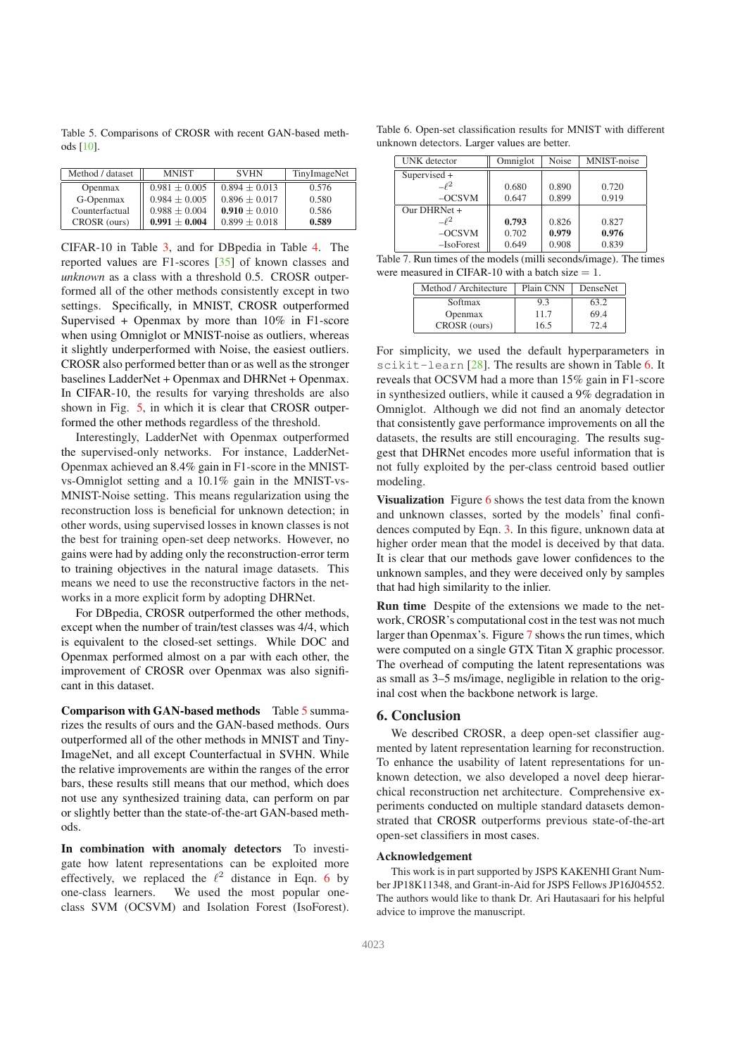Table 5. Comparisons of CROSR with recent GAN-based methods [10].

| Method / dataset | <b>MNIST</b>      | <b>SVHN</b>       | <b>TinyImageNet</b> |
|------------------|-------------------|-------------------|---------------------|
| <b>Openmax</b>   | $0.981 \pm 0.005$ | $0.894 + 0.013$   | 0.576               |
| G-Openmax        | $0.984 \pm 0.005$ | $0.896 \pm 0.017$ | 0.580               |
| Counterfactual   | $0.988 \pm 0.004$ | $0.910 + 0.010$   | 0.586               |
| CROSR (ours)     | $0.991 + 0.004$   | $0.899 \pm 0.018$ | 0.589               |

CIFAR-10 in Table 3, and for DBpedia in Table 4. The reported values are F1-scores [35] of known classes and *unknown* as a class with a threshold 0.5. CROSR outperformed all of the other methods consistently except in two settings. Specifically, in MNIST, CROSR outperformed Supervised + Openmax by more than 10% in F1-score when using Omniglot or MNIST-noise as outliers, whereas it slightly underperformed with Noise, the easiest outliers. CROSR also performed better than or as well as the stronger baselines LadderNet + Openmax and DHRNet + Openmax. In CIFAR-10, the results for varying thresholds are also shown in Fig. 5, in which it is clear that CROSR outperformed the other methods regardless of the threshold.

Interestingly, LadderNet with Openmax outperformed the supervised-only networks. For instance, LadderNet-Openmax achieved an 8.4% gain in F1-score in the MNISTvs-Omniglot setting and a 10.1% gain in the MNIST-vs-MNIST-Noise setting. This means regularization using the reconstruction loss is beneficial for unknown detection; in other words, using supervised losses in known classes is not the best for training open-set deep networks. However, no gains were had by adding only the reconstruction-error term to training objectives in the natural image datasets. This means we need to use the reconstructive factors in the networks in a more explicit form by adopting DHRNet.

For DBpedia, CROSR outperformed the other methods, except when the number of train/test classes was 4/4, which is equivalent to the closed-set settings. While DOC and Openmax performed almost on a par with each other, the improvement of CROSR over Openmax was also significant in this dataset.

Comparison with GAN-based methods Table 5 summarizes the results of ours and the GAN-based methods. Ours outperformed all of the other methods in MNIST and Tiny-ImageNet, and all except Counterfactual in SVHN. While the relative improvements are within the ranges of the error bars, these results still means that our method, which does not use any synthesized training data, can perform on par or slightly better than the state-of-the-art GAN-based methods.

In combination with anomaly detectors To investigate how latent representations can be exploited more effectively, we replaced the  $\ell^2$  distance in Eqn. 6 by one-class learners. We used the most popular oneclass SVM (OCSVM) and Isolation Forest (IsoForest). Table 6. Open-set classification results for MNIST with different unknown detectors. Larger values are better.

| <b>UNK</b> detector | Omniglot | Noise | MNIST-noise |
|---------------------|----------|-------|-------------|
| Supervised $+$      |          |       |             |
| $-\ell^2$           | 0.680    | 0.890 | 0.720       |
| $-OCSVM$            | 0.647    | 0.899 | 0.919       |
| Our DHRNet $+$      |          |       |             |
| $\mathcal{L}^2$     | 0.793    | 0.826 | 0.827       |
| $-OCSVM$            | 0.702    | 0.979 | 0.976       |
| $-Is of$            | 0.649    | 0.908 | 0.839       |

Table 7. Run times of the models (milli seconds/image). The times were measured in CIFAR-10 with a batch size  $= 1$ .

| Method / Architecture | Plain CNN | DenseNet |  |
|-----------------------|-----------|----------|--|
| Softmax               | 93        | 63 2.    |  |
| <b>Openmax</b>        | 11.7      | 69.4     |  |
| CROSR (ours)          | 165       | 79 A     |  |

For simplicity, we used the default hyperparameters in scikit-learn [28]. The results are shown in Table 6. It reveals that OCSVM had a more than 15% gain in F1-score in synthesized outliers, while it caused a 9% degradation in Omniglot. Although we did not find an anomaly detector that consistently gave performance improvements on all the datasets, the results are still encouraging. The results suggest that DHRNet encodes more useful information that is not fully exploited by the per-class centroid based outlier modeling.

Visualization Figure 6 shows the test data from the known and unknown classes, sorted by the models' final confidences computed by Eqn. 3. In this figure, unknown data at higher order mean that the model is deceived by that data. It is clear that our methods gave lower confidences to the unknown samples, and they were deceived only by samples that had high similarity to the inlier.

Run time Despite of the extensions we made to the network, CROSR's computational cost in the test was not much larger than Openmax's. Figure 7 shows the run times, which were computed on a single GTX Titan X graphic processor. The overhead of computing the latent representations was as small as 3–5 ms/image, negligible in relation to the original cost when the backbone network is large.

#### 6. Conclusion

We described CROSR, a deep open-set classifier augmented by latent representation learning for reconstruction. To enhance the usability of latent representations for unknown detection, we also developed a novel deep hierarchical reconstruction net architecture. Comprehensive experiments conducted on multiple standard datasets demonstrated that CROSR outperforms previous state-of-the-art open-set classifiers in most cases.

#### Acknowledgement

This work is in part supported by JSPS KAKENHI Grant Number JP18K11348, and Grant-in-Aid for JSPS Fellows JP16J04552. The authors would like to thank Dr. Ari Hautasaari for his helpful advice to improve the manuscript.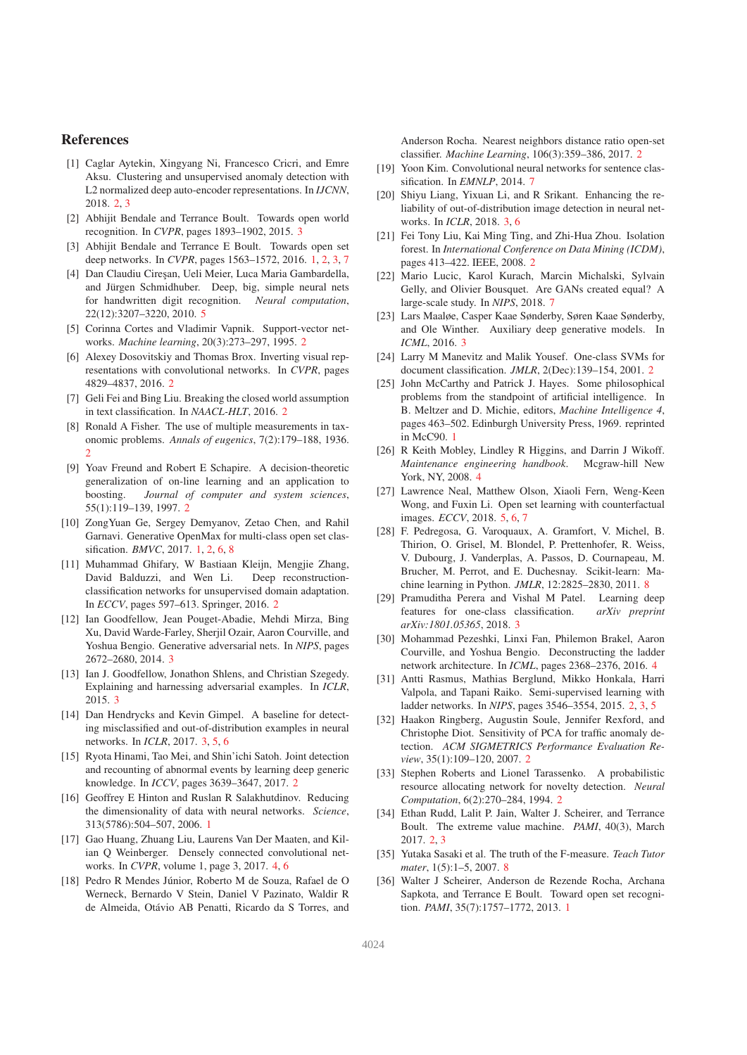### References

- [1] Caglar Aytekin, Xingyang Ni, Francesco Cricri, and Emre Aksu. Clustering and unsupervised anomaly detection with L2 normalized deep auto-encoder representations. In *IJCNN*, 2018. 2, 3
- [2] Abhijit Bendale and Terrance Boult. Towards open world recognition. In *CVPR*, pages 1893–1902, 2015. 3
- [3] Abhijit Bendale and Terrance E Boult. Towards open set deep networks. In *CVPR*, pages 1563–1572, 2016. 1, 2, 3, 7
- [4] Dan Claudiu Cireșan, Ueli Meier, Luca Maria Gambardella, and Jürgen Schmidhuber. Deep, big, simple neural nets for handwritten digit recognition. *Neural computation*, 22(12):3207–3220, 2010. 5
- [5] Corinna Cortes and Vladimir Vapnik. Support-vector networks. *Machine learning*, 20(3):273–297, 1995. 2
- [6] Alexey Dosovitskiy and Thomas Brox. Inverting visual representations with convolutional networks. In *CVPR*, pages 4829–4837, 2016. 2
- [7] Geli Fei and Bing Liu. Breaking the closed world assumption in text classification. In *NAACL-HLT*, 2016. 2
- [8] Ronald A Fisher. The use of multiple measurements in taxonomic problems. *Annals of eugenics*, 7(2):179–188, 1936. 2
- [9] Yoav Freund and Robert E Schapire. A decision-theoretic generalization of on-line learning and an application to boosting. *Journal of computer and system sciences*, 55(1):119–139, 1997. 2
- [10] ZongYuan Ge, Sergey Demyanov, Zetao Chen, and Rahil Garnavi. Generative OpenMax for multi-class open set classification. *BMVC*, 2017. 1, 2, 6, 8
- [11] Muhammad Ghifary, W Bastiaan Kleijn, Mengjie Zhang, David Balduzzi, and Wen Li. Deep reconstructionclassification networks for unsupervised domain adaptation. In *ECCV*, pages 597–613. Springer, 2016. 2
- [12] Ian Goodfellow, Jean Pouget-Abadie, Mehdi Mirza, Bing Xu, David Warde-Farley, Sherjil Ozair, Aaron Courville, and Yoshua Bengio. Generative adversarial nets. In *NIPS*, pages 2672–2680, 2014. 3
- [13] Ian J. Goodfellow, Jonathon Shlens, and Christian Szegedy. Explaining and harnessing adversarial examples. In *ICLR*, 2015. 3
- [14] Dan Hendrycks and Kevin Gimpel. A baseline for detecting misclassified and out-of-distribution examples in neural networks. In *ICLR*, 2017. 3, 5, 6
- [15] Ryota Hinami, Tao Mei, and Shin'ichi Satoh. Joint detection and recounting of abnormal events by learning deep generic knowledge. In *ICCV*, pages 3639–3647, 2017. 2
- [16] Geoffrey E Hinton and Ruslan R Salakhutdinov. Reducing the dimensionality of data with neural networks. *Science*, 313(5786):504–507, 2006. 1
- [17] Gao Huang, Zhuang Liu, Laurens Van Der Maaten, and Kilian Q Weinberger. Densely connected convolutional networks. In *CVPR*, volume 1, page 3, 2017. 4, 6
- [18] Pedro R Mendes Júnior, Roberto M de Souza, Rafael de O Werneck, Bernardo V Stein, Daniel V Pazinato, Waldir R de Almeida, Otávio AB Penatti, Ricardo da S Torres, and

Anderson Rocha. Nearest neighbors distance ratio open-set classifier. *Machine Learning*, 106(3):359–386, 2017. 2

- [19] Yoon Kim. Convolutional neural networks for sentence classification. In *EMNLP*, 2014. 7
- [20] Shiyu Liang, Yixuan Li, and R Srikant. Enhancing the reliability of out-of-distribution image detection in neural networks. In *ICLR*, 2018. 3, 6
- [21] Fei Tony Liu, Kai Ming Ting, and Zhi-Hua Zhou. Isolation forest. In *International Conference on Data Mining (ICDM)*, pages 413–422. IEEE, 2008. 2
- [22] Mario Lucic, Karol Kurach, Marcin Michalski, Sylvain Gelly, and Olivier Bousquet. Are GANs created equal? A large-scale study. In *NIPS*, 2018. 7
- [23] Lars Maaløe, Casper Kaae Sønderby, Søren Kaae Sønderby, and Ole Winther. Auxiliary deep generative models. In *ICML*, 2016. 3
- [24] Larry M Manevitz and Malik Yousef. One-class SVMs for document classification. *JMLR*, 2(Dec):139–154, 2001. 2
- [25] John McCarthy and Patrick J. Hayes. Some philosophical problems from the standpoint of artificial intelligence. In B. Meltzer and D. Michie, editors, *Machine Intelligence 4*, pages 463–502. Edinburgh University Press, 1969. reprinted in McC90. 1
- [26] R Keith Mobley, Lindley R Higgins, and Darrin J Wikoff. *Maintenance engineering handbook*. Mcgraw-hill New York, NY, 2008. 4
- [27] Lawrence Neal, Matthew Olson, Xiaoli Fern, Weng-Keen Wong, and Fuxin Li. Open set learning with counterfactual images. *ECCV*, 2018. 5, 6, 7
- [28] F. Pedregosa, G. Varoquaux, A. Gramfort, V. Michel, B. Thirion, O. Grisel, M. Blondel, P. Prettenhofer, R. Weiss, V. Dubourg, J. Vanderplas, A. Passos, D. Cournapeau, M. Brucher, M. Perrot, and E. Duchesnay. Scikit-learn: Machine learning in Python. *JMLR*, 12:2825–2830, 2011. 8
- [29] Pramuditha Perera and Vishal M Patel. Learning deep features for one-class classification. *arXiv preprint arXiv:1801.05365*, 2018. 3
- [30] Mohammad Pezeshki, Linxi Fan, Philemon Brakel, Aaron Courville, and Yoshua Bengio. Deconstructing the ladder network architecture. In *ICML*, pages 2368–2376, 2016. 4
- [31] Antti Rasmus, Mathias Berglund, Mikko Honkala, Harri Valpola, and Tapani Raiko. Semi-supervised learning with ladder networks. In *NIPS*, pages 3546–3554, 2015. 2, 3, 5
- [32] Haakon Ringberg, Augustin Soule, Jennifer Rexford, and Christophe Diot. Sensitivity of PCA for traffic anomaly detection. *ACM SIGMETRICS Performance Evaluation Review*, 35(1):109–120, 2007. 2
- [33] Stephen Roberts and Lionel Tarassenko. A probabilistic resource allocating network for novelty detection. *Neural Computation*, 6(2):270–284, 1994. 2
- [34] Ethan Rudd, Lalit P. Jain, Walter J. Scheirer, and Terrance Boult. The extreme value machine. *PAMI*, 40(3), March 2017. 2, 3
- [35] Yutaka Sasaki et al. The truth of the F-measure. *Teach Tutor mater*, 1(5):1–5, 2007. 8
- [36] Walter J Scheirer, Anderson de Rezende Rocha, Archana Sapkota, and Terrance E Boult. Toward open set recognition. *PAMI*, 35(7):1757–1772, 2013. 1